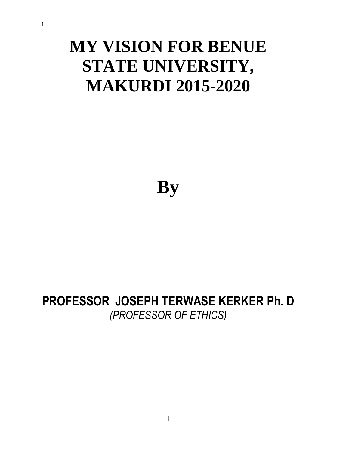1

# **MY VISION FOR BENUE STATE UNIVERSITY, MAKURDI 2015-2020**

**By**

# **PROFESSOR JOSEPH TERWASE KERKER Ph. D** *(PROFESSOR OF ETHICS)*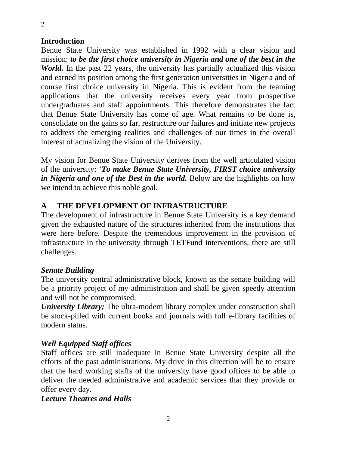## **Introduction**

Benue State University was established in 1992 with a clear vision and mission: *to be the first choice university in Nigeria and one of the best in the World*. In the past 22 years, the university has partially actualized this vision and earned its position among the first generation universities in Nigeria and of course first choice university in Nigeria. This is evident from the teaming applications that the university receives every year from prospective undergraduates and staff appointments. This therefore demonstrates the fact that Benue State University has come of age. What remains to be done is, consolidate on the gains so far, restructure our failures and initiate new projects to address the emerging realities and challenges of our times in the overall interest of actualizing the vision of the University.

My vision for Benue State University derives from the well articulated vision of the university: '*To make Benue State University, FIRST choice university in Nigeria and one of the Best in the world.* Below are the highlights on how we intend to achieve this noble goal.

# **A THE DEVELOPMENT OF INFRASTRUCTURE**

The development of infrastructure in Benue State University is a key demand given the exhausted nature of the structures inherited from the institutions that were here before. Despite the tremendous improvement in the provision of infrastructure in the university through TETFund interventions, there are still challenges.

### *Senate Building*

The university central administrative block, known as the senate building will be a priority project of my administration and shall be given speedy attention and will not be compromised.

*University Library*; The ultra-modern library complex under construction shall be stock-pilled with current books and journals with full e-library facilities of modern status.

# *Well Equipped Staff offices*

Staff offices are still inadequate in Benue State University despite all the efforts of the past administrations. My drive in this direction will be to ensure that the hard working staffs of the university have good offices to be able to deliver the needed administrative and academic services that they provide or offer every day.

### *Lecture Theatres and Halls*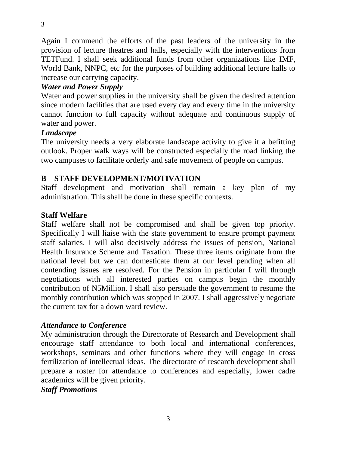Again I commend the efforts of the past leaders of the university in the provision of lecture theatres and halls, especially with the interventions from TETFund. I shall seek additional funds from other organizations like IMF, World Bank, NNPC, etc for the purposes of building additional lecture halls to increase our carrying capacity.

# *Water and Power Supply*

Water and power supplies in the university shall be given the desired attention since modern facilities that are used every day and every time in the university cannot function to full capacity without adequate and continuous supply of water and power.

### *Landscape*

The university needs a very elaborate landscape activity to give it a befitting outlook. Proper walk ways will be constructed especially the road linking the two campuses to facilitate orderly and safe movement of people on campus.

# **B STAFF DEVELOPMENT/MOTIVATION**

Staff development and motivation shall remain a key plan of my administration. This shall be done in these specific contexts.

# **Staff Welfare**

Staff welfare shall not be compromised and shall be given top priority. Specifically I will liaise with the state government to ensure prompt payment staff salaries. I will also decisively address the issues of pension, National Health Insurance Scheme and Taxation. These three items originate from the national level but we can domesticate them at our level pending when all contending issues are resolved. For the Pension in particular I will through negotiations with all interested parties on campus begin the monthly contribution of N5Million. I shall also persuade the government to resume the monthly contribution which was stopped in 2007. I shall aggressively negotiate the current tax for a down ward review.

# *Attendance to Conference*

My administration through the Directorate of Research and Development shall encourage staff attendance to both local and international conferences, workshops, seminars and other functions where they will engage in cross fertilization of intellectual ideas. The directorate of research development shall prepare a roster for attendance to conferences and especially, lower cadre academics will be given priority.

# *Staff Promotions*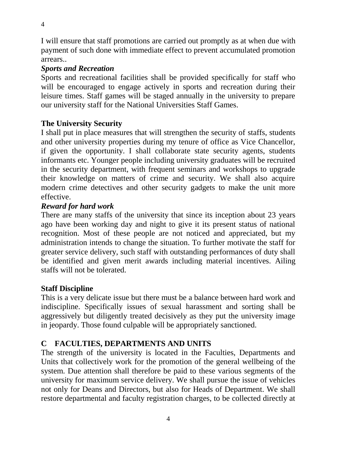I will ensure that staff promotions are carried out promptly as at when due with payment of such done with immediate effect to prevent accumulated promotion arrears..

# *Sports and Recreation*

Sports and recreational facilities shall be provided specifically for staff who will be encouraged to engage actively in sports and recreation during their leisure times. Staff games will be staged annually in the university to prepare our university staff for the National Universities Staff Games.

# **The University Security**

I shall put in place measures that will strengthen the security of staffs, students and other university properties during my tenure of office as Vice Chancellor, if given the opportunity. I shall collaborate state security agents, students informants etc. Younger people including university graduates will be recruited in the security department, with frequent seminars and workshops to upgrade their knowledge on matters of crime and security. We shall also acquire modern crime detectives and other security gadgets to make the unit more effective.

# *Reward for hard work*

There are many staffs of the university that since its inception about 23 years ago have been working day and night to give it its present status of national recognition. Most of these people are not noticed and appreciated, but my administration intends to change the situation. To further motivate the staff for greater service delivery, such staff with outstanding performances of duty shall be identified and given merit awards including material incentives. Ailing staffs will not be tolerated.

### **Staff Discipline**

This is a very delicate issue but there must be a balance between hard work and indiscipline. Specifically issues of sexual harassment and sorting shall be aggressively but diligently treated decisively as they put the university image in jeopardy. Those found culpable will be appropriately sanctioned.

# **C FACULTIES, DEPARTMENTS AND UNITS**

The strength of the university is located in the Faculties, Departments and Units that collectively work for the promotion of the general wellbeing of the system. Due attention shall therefore be paid to these various segments of the university for maximum service delivery. We shall pursue the issue of vehicles not only for Deans and Directors, but also for Heads of Department. We shall restore departmental and faculty registration charges, to be collected directly at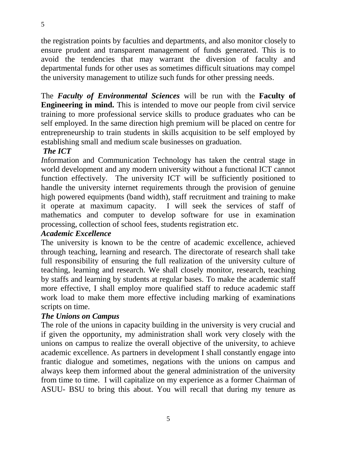the registration points by faculties and departments, and also monitor closely to ensure prudent and transparent management of funds generated. This is to avoid the tendencies that may warrant the diversion of faculty and departmental funds for other uses as sometimes difficult situations may compel the university management to utilize such funds for other pressing needs.

The *Faculty of Environmental Sciences* will be run with the **Faculty of Engineering in mind.** This is intended to move our people from civil service training to more professional service skills to produce graduates who can be self employed. In the same direction high premium will be placed on centre for entrepreneurship to train students in skills acquisition to be self employed by establishing small and medium scale businesses on graduation.

# *The ICT*

*I*nformation and Communication Technology has taken the central stage in world development and any modern university without a functional ICT cannot function effectively. The university ICT will be sufficiently positioned to handle the university internet requirements through the provision of genuine high powered equipments (band width), staff recruitment and training to make it operate at maximum capacity. I will seek the services of staff of mathematics and computer to develop software for use in examination processing, collection of school fees, students registration etc.

### *Academic Excellence*

The university is known to be the centre of academic excellence, achieved through teaching, learning and research. The directorate of research shall take full responsibility of ensuring the full realization of the university culture of teaching, learning and research. We shall closely monitor, research, teaching by staffs and learning by students at regular bases. To make the academic staff more effective, I shall employ more qualified staff to reduce academic staff work load to make them more effective including marking of examinations scripts on time.

### *The Unions on Campus*

The role of the unions in capacity building in the university is very crucial and if given the opportunity, my administration shall work very closely with the unions on campus to realize the overall objective of the university, to achieve academic excellence. As partners in development I shall constantly engage into frantic dialogue and sometimes, negations with the unions on campus and always keep them informed about the general administration of the university from time to time. I will capitalize on my experience as a former Chairman of ASUU- BSU to bring this about. You will recall that during my tenure as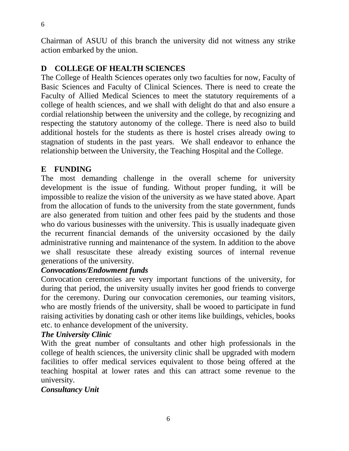Chairman of ASUU of this branch the university did not witness any strike action embarked by the union.

# **D COLLEGE OF HEALTH SCIENCES**

The College of Health Sciences operates only two faculties for now, Faculty of Basic Sciences and Faculty of Clinical Sciences. There is need to create the Faculty of Allied Medical Sciences to meet the statutory requirements of a college of health sciences, and we shall with delight do that and also ensure a cordial relationship between the university and the college, by recognizing and respecting the statutory autonomy of the college. There is need also to build additional hostels for the students as there is hostel crises already owing to stagnation of students in the past years. We shall endeavor to enhance the relationship between the University, the Teaching Hospital and the College.

# **E FUNDING**

The most demanding challenge in the overall scheme for university development is the issue of funding. Without proper funding, it will be impossible to realize the vision of the university as we have stated above. Apart from the allocation of funds to the university from the state government, funds are also generated from tuition and other fees paid by the students and those who do various businesses with the university. This is usually inadequate given the recurrent financial demands of the university occasioned by the daily administrative running and maintenance of the system. In addition to the above we shall resuscitate these already existing sources of internal revenue generations of the university.

# *Convocations/Endowment funds*

Convocation ceremonies are very important functions of the university, for during that period, the university usually invites her good friends to converge for the ceremony. During our convocation ceremonies, our teaming visitors, who are mostly friends of the university, shall be wooed to participate in fund raising activities by donating cash or other items like buildings, vehicles, books etc. to enhance development of the university.

# *The University Clinic*

With the great number of consultants and other high professionals in the college of health sciences, the university clinic shall be upgraded with modern facilities to offer medical services equivalent to those being offered at the teaching hospital at lower rates and this can attract some revenue to the university.

# *Consultancy Unit*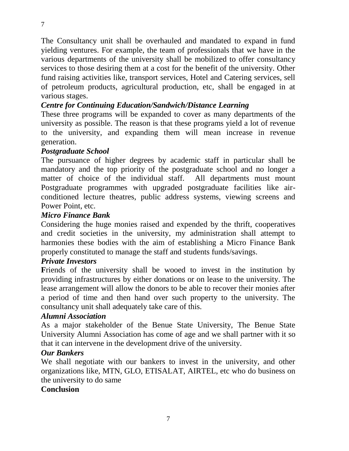The Consultancy unit shall be overhauled and mandated to expand in fund yielding ventures. For example, the team of professionals that we have in the various departments of the university shall be mobilized to offer consultancy services to those desiring them at a cost for the benefit of the university. Other fund raising activities like, transport services, Hotel and Catering services, sell of petroleum products, agricultural production, etc, shall be engaged in at various stages.

# *Centre for Continuing Education/Sandwich/Distance Learning*

These three programs will be expanded to cover as many departments of the university as possible. The reason is that these programs yield a lot of revenue to the university, and expanding them will mean increase in revenue generation.

### *Postgraduate School*

The pursuance of higher degrees by academic staff in particular shall be mandatory and the top priority of the postgraduate school and no longer a matter of choice of the individual staff. All departments must mount Postgraduate programmes with upgraded postgraduate facilities like airconditioned lecture theatres, public address systems, viewing screens and Power Point, etc.

### *Micro Finance Bank*

Considering the huge monies raised and expended by the thrift, cooperatives and credit societies in the university, my administration shall attempt to harmonies these bodies with the aim of establishing a Micro Finance Bank properly constituted to manage the staff and students funds/savings.

### *Private Investors*

Friends of the university shall be wooed to invest in the institution by providing infrastructures by either donations or on lease to the university. The lease arrangement will allow the donors to be able to recover their monies after a period of time and then hand over such property to the university. The consultancy unit shall adequately take care of this.

### *Alumni Association*

As a major stakeholder of the Benue State University, The Benue State University Alumni Association has come of age and we shall partner with it so that it can intervene in the development drive of the university.

### *Our Bankers*

We shall negotiate with our bankers to invest in the university, and other organizations like, MTN, GLO, ETISALAT, AIRTEL, etc who do business on the university to do same

### **Conclusion**